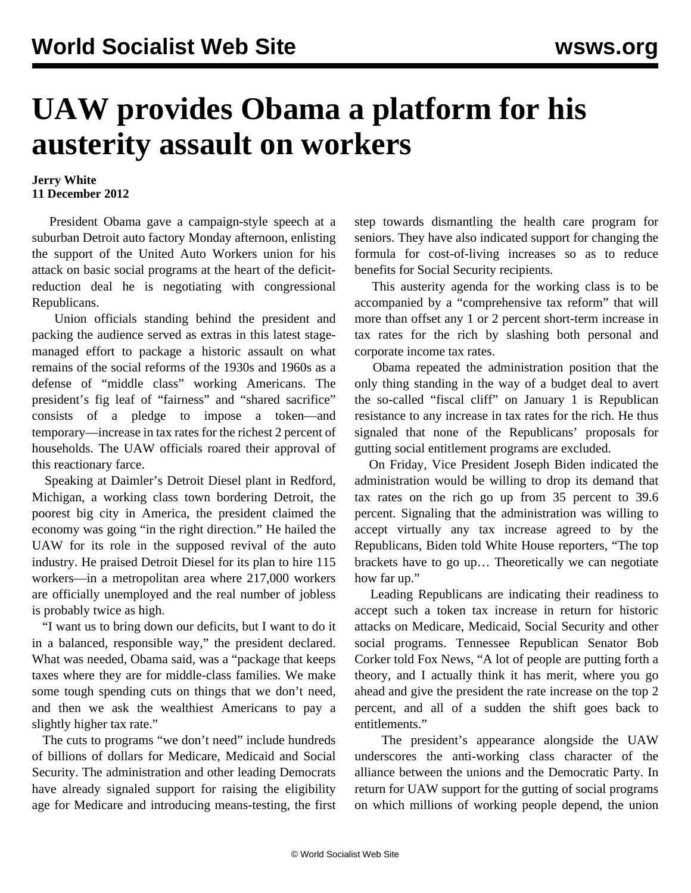## **UAW provides Obama a platform for his austerity assault on workers**

## **Jerry White 11 December 2012**

 President Obama gave a campaign-style speech at a suburban Detroit auto factory Monday afternoon, enlisting the support of the United Auto Workers union for his attack on basic social programs at the heart of the deficitreduction deal he is negotiating with congressional Republicans.

 Union officials standing behind the president and packing the audience served as extras in this latest stagemanaged effort to package a historic assault on what remains of the social reforms of the 1930s and 1960s as a defense of "middle class" working Americans. The president's fig leaf of "fairness" and "shared sacrifice" consists of a pledge to impose a token—and temporary—increase in tax rates for the richest 2 percent of households. The UAW officials roared their approval of this reactionary farce.

 Speaking at Daimler's Detroit Diesel plant in Redford, Michigan, a working class town bordering Detroit, the poorest big city in America, the president claimed the economy was going "in the right direction." He hailed the UAW for its role in the supposed revival of the auto industry. He praised Detroit Diesel for its plan to hire 115 workers—in a metropolitan area where 217,000 workers are officially unemployed and the real number of jobless is probably twice as high.

 "I want us to bring down our deficits, but I want to do it in a balanced, responsible way," the president declared. What was needed, Obama said, was a "package that keeps taxes where they are for middle-class families. We make some tough spending cuts on things that we don't need, and then we ask the wealthiest Americans to pay a slightly higher tax rate."

 The cuts to programs "we don't need" include hundreds of billions of dollars for Medicare, Medicaid and Social Security. The administration and other leading Democrats have already signaled support for raising the eligibility age for Medicare and introducing means-testing, the first step towards dismantling the health care program for seniors. They have also indicated support for changing the formula for cost-of-living increases so as to reduce benefits for Social Security recipients.

 This austerity agenda for the working class is to be accompanied by a "comprehensive tax reform" that will more than offset any 1 or 2 percent short-term increase in tax rates for the rich by slashing both personal and corporate income tax rates.

 Obama repeated the administration position that the only thing standing in the way of a budget deal to avert the so-called "fiscal cliff" on January 1 is Republican resistance to any increase in tax rates for the rich. He thus signaled that none of the Republicans' proposals for gutting social entitlement programs are excluded.

 On Friday, Vice President Joseph Biden indicated the administration would be willing to drop its demand that tax rates on the rich go up from 35 percent to 39.6 percent. Signaling that the administration was willing to accept virtually any tax increase agreed to by the Republicans, Biden told White House reporters, "The top brackets have to go up… Theoretically we can negotiate how far up."

 Leading Republicans are indicating their readiness to accept such a token tax increase in return for historic attacks on Medicare, Medicaid, Social Security and other social programs. Tennessee Republican Senator Bob Corker told Fox News, "A lot of people are putting forth a theory, and I actually think it has merit, where you go ahead and give the president the rate increase on the top 2 percent, and all of a sudden the shift goes back to entitlements."

 The president's appearance alongside the UAW underscores the anti-working class character of the alliance between the unions and the Democratic Party. In return for UAW support for the gutting of social programs on which millions of working people depend, the union